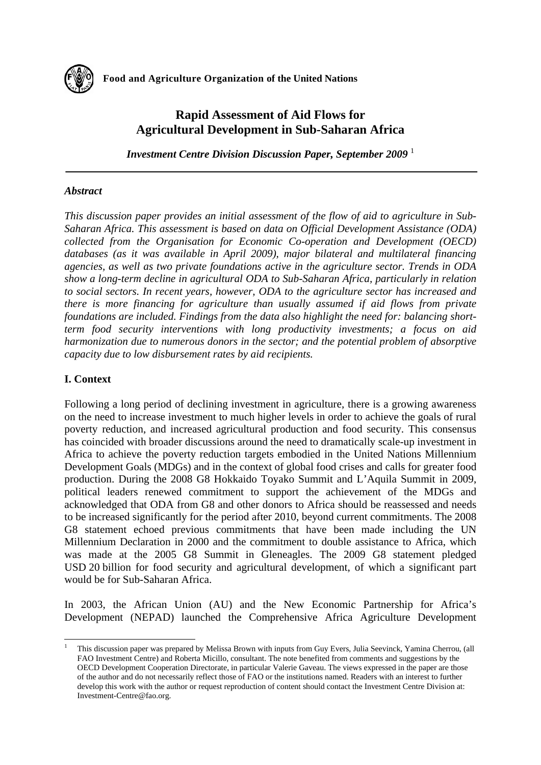

# **Rapid Assessment of Aid Flows for Agricultural Development in Sub-Saharan Africa**

*Investment Centre Division Discussion Paper, September 2009* <sup>1</sup>

## *Abstract*

*This discussion paper provides an initial assessment of the flow of aid to agriculture in Sub-Saharan Africa. This assessment is based on data on Official Development Assistance (ODA) collected from the Organisation for Economic Co-operation and Development (OECD) databases (as it was available in April 2009), major bilateral and multilateral financing agencies, as well as two private foundations active in the agriculture sector. Trends in ODA show a long-term decline in agricultural ODA to Sub-Saharan Africa, particularly in relation to social sectors. In recent years, however, ODA to the agriculture sector has increased and there is more financing for agriculture than usually assumed if aid flows from private foundations are included. Findings from the data also highlight the need for: balancing shortterm food security interventions with long productivity investments; a focus on aid harmonization due to numerous donors in the sector; and the potential problem of absorptive capacity due to low disbursement rates by aid recipients.* 

## **I. Context**

-

Following a long period of declining investment in agriculture, there is a growing awareness on the need to increase investment to much higher levels in order to achieve the goals of rural poverty reduction, and increased agricultural production and food security. This consensus has coincided with broader discussions around the need to dramatically scale-up investment in Africa to achieve the poverty reduction targets embodied in the United Nations Millennium Development Goals (MDGs) and in the context of global food crises and calls for greater food production. During the 2008 G8 Hokkaido Toyako Summit and L'Aquila Summit in 2009, political leaders renewed commitment to support the achievement of the MDGs and acknowledged that ODA from G8 and other donors to Africa should be reassessed and needs to be increased significantly for the period after 2010, beyond current commitments. The 2008 G8 statement echoed previous commitments that have been made including the UN Millennium Declaration in 2000 and the commitment to double assistance to Africa, which was made at the 2005 G8 Summit in Gleneagles. The 2009 G8 statement pledged USD 20 billion for food security and agricultural development, of which a significant part would be for Sub-Saharan Africa.

In 2003, the African Union (AU) and the New Economic Partnership for Africa's Development (NEPAD) launched the Comprehensive Africa Agriculture Development

<sup>1</sup> This discussion paper was prepared by Melissa Brown with inputs from Guy Evers, Julia Seevinck, Yamina Cherrou, (all FAO Investment Centre) and Roberta Micillo, consultant. The note benefited from comments and suggestions by the OECD Development Cooperation Directorate, in particular Valerie Gaveau. The views expressed in the paper are those of the author and do not necessarily reflect those of FAO or the institutions named. Readers with an interest to further develop this work with the author or request reproduction of content should contact the Investment Centre Division at: Investment-Centre@fao.org.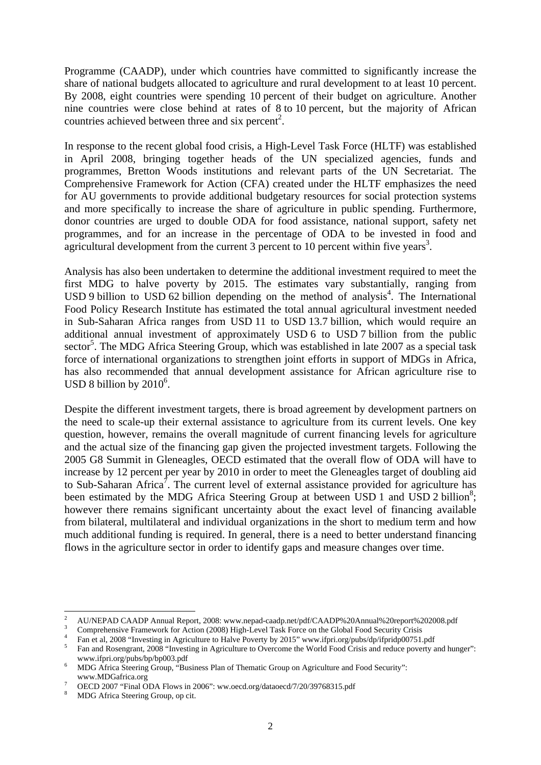Programme (CAADP), under which countries have committed to significantly increase the share of national budgets allocated to agriculture and rural development to at least 10 percent. By 2008, eight countries were spending 10 percent of their budget on agriculture. Another nine countries were close behind at rates of 8 to 10 percent, but the majority of African countries achieved between three and six percent<sup>2</sup>.

In response to the recent global food crisis, a High-Level Task Force (HLTF) was established in April 2008, bringing together heads of the UN specialized agencies, funds and programmes, Bretton Woods institutions and relevant parts of the UN Secretariat. The Comprehensive Framework for Action (CFA) created under the HLTF emphasizes the need for AU governments to provide additional budgetary resources for social protection systems and more specifically to increase the share of agriculture in public spending. Furthermore, donor countries are urged to double ODA for food assistance, national support, safety net programmes, and for an increase in the percentage of ODA to be invested in food and agricultural development from the current  $3$  percent to 10 percent within five years<sup>3</sup>.

Analysis has also been undertaken to determine the additional investment required to meet the first MDG to halve poverty by 2015. The estimates vary substantially, ranging from  $\text{USD 9 billion}$  to  $\text{USD 62 billion}$  depending on the method of analysis<sup>4</sup>. The International Food Policy Research Institute has estimated the total annual agricultural investment needed in Sub-Saharan Africa ranges from USD 11 to USD 13.7 billion, which would require an additional annual investment of approximately USD 6 to USD 7 billion from the public sector<sup>5</sup>. The MDG Africa Steering Group, which was established in late 2007 as a special task force of international organizations to strengthen joint efforts in support of MDGs in Africa, has also recommended that annual development assistance for African agriculture rise to USD 8 billion by  $2010^6$ .

Despite the different investment targets, there is broad agreement by development partners on the need to scale-up their external assistance to agriculture from its current levels. One key question, however, remains the overall magnitude of current financing levels for agriculture and the actual size of the financing gap given the projected investment targets. Following the 2005 G8 Summit in Gleneagles, OECD estimated that the overall flow of ODA will have to increase by 12 percent per year by 2010 in order to meet the Gleneagles target of doubling aid to Sub-Saharan Africa<sup>7</sup>. The current level of external assistance provided for agriculture has been estimated by the MDG Africa Steering Group at between USD 1 and USD 2 billion<sup>8</sup>; however there remains significant uncertainty about the exact level of financing available from bilateral, multilateral and individual organizations in the short to medium term and how much additional funding is required. In general, there is a need to better understand financing flows in the agriculture sector in order to identify gaps and measure changes over time.

 $\frac{1}{2}$ <sup>2</sup> AU/NEPAD CAADP Annual Report, 2008: www.nepad-caadp.net/pdf/CAADP%20Annual%20report%202008.pdf

<sup>&</sup>lt;sup>3</sup> Comprehensive Framework for Action (2008) High-Level Task Force on the Global Food Security Crisis

<sup>&</sup>lt;sup>4</sup> Fan et al, 2008 "Investing in Agriculture to Halve Poverty by 2015" www.ifpri.org/pubs/dp/ifpridp00751.pdf

Fan and Rosengrant, 2008 "Investing in Agriculture to Overcome the World Food Crisis and reduce poverty and hunger": www.ifpri.org/pubs/bp/bp003.pdf

MDG Africa Steering Group, "Business Plan of Thematic Group on Agriculture and Food Security": www.MDGafrica.org

OECD 2007 "Final ODA Flows in 2006": ww.oecd.org/dataoecd/7/20/39768315.pdf

<sup>8</sup> MDG Africa Steering Group, op cit.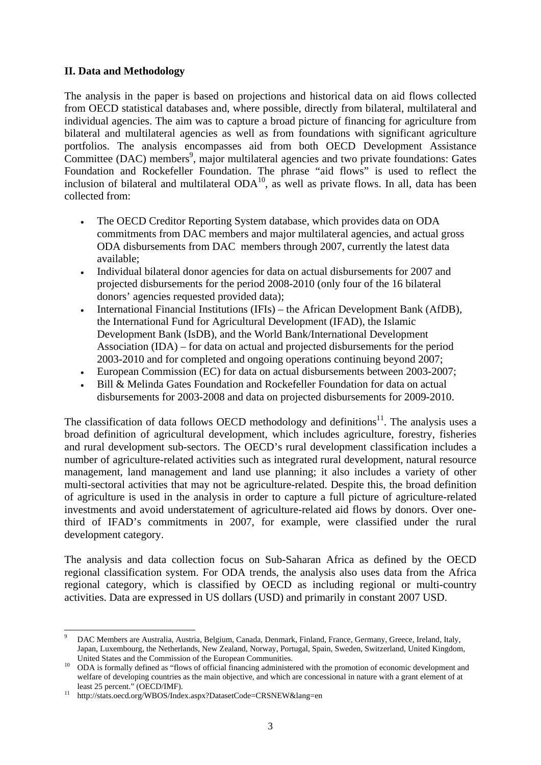### **II. Data and Methodology**

The analysis in the paper is based on projections and historical data on aid flows collected from OECD statistical databases and, where possible, directly from bilateral, multilateral and individual agencies. The aim was to capture a broad picture of financing for agriculture from bilateral and multilateral agencies as well as from foundations with significant agriculture portfolios. The analysis encompasses aid from both OECD Development Assistance Committee (DAC) members<sup>9</sup>, major multilateral agencies and two private foundations: Gates Foundation and Rockefeller Foundation. The phrase "aid flows" is used to reflect the inclusion of bilateral and multilateral  $ODA<sup>10</sup>$ , as well as private flows. In all, data has been collected from:

- The OECD Creditor Reporting System database, which provides data on ODA commitments from DAC members and major multilateral agencies, and actual gross ODA disbursements from DAC members through 2007, currently the latest data available;
- Individual bilateral donor agencies for data on actual disbursements for 2007 and projected disbursements for the period 2008-2010 (only four of the 16 bilateral donors' agencies requested provided data);
- International Financial Institutions (IFIs) the African Development Bank (AfDB), the International Fund for Agricultural Development (IFAD), the Islamic Development Bank (IsDB), and the World Bank/International Development Association (IDA) – for data on actual and projected disbursements for the period 2003-2010 and for completed and ongoing operations continuing beyond 2007;
- European Commission (EC) for data on actual disbursements between 2003-2007;
- Bill & Melinda Gates Foundation and Rockefeller Foundation for data on actual disbursements for 2003-2008 and data on projected disbursements for 2009-2010.

The classification of data follows OECD methodology and definitions<sup>11</sup>. The analysis uses a broad definition of agricultural development, which includes agriculture, forestry, fisheries and rural development sub-sectors. The OECD's rural development classification includes a number of agriculture-related activities such as integrated rural development, natural resource management, land management and land use planning; it also includes a variety of other multi-sectoral activities that may not be agriculture-related. Despite this, the broad definition of agriculture is used in the analysis in order to capture a full picture of agriculture-related investments and avoid understatement of agriculture-related aid flows by donors. Over onethird of IFAD's commitments in 2007, for example, were classified under the rural development category.

The analysis and data collection focus on Sub-Saharan Africa as defined by the OECD regional classification system. For ODA trends, the analysis also uses data from the Africa regional category, which is classified by OECD as including regional or multi-country activities. Data are expressed in US dollars (USD) and primarily in constant 2007 USD.

 $\overline{a}$ 9 DAC Members are Australia, Austria, Belgium, Canada, Denmark, Finland, France, Germany, Greece, Ireland, Italy, Japan, Luxembourg, the Netherlands, New Zealand, Norway, Portugal, Spain, Sweden, Switzerland, United Kingdom,

United States and the Commission of the European Communities.<br><sup>10</sup> ODA is formally defined as "flows of official financing administered with the promotion of economic development and welfare of developing countries as the main objective, and which are concessional in nature with a grant element of at

least 25 percent." (OECD/IMF).  $\frac{11 \text{ http://stats.oecd.org/WBOS/Index.aspx?DatasetCode=CRSNEW\⟨=en}}{11}$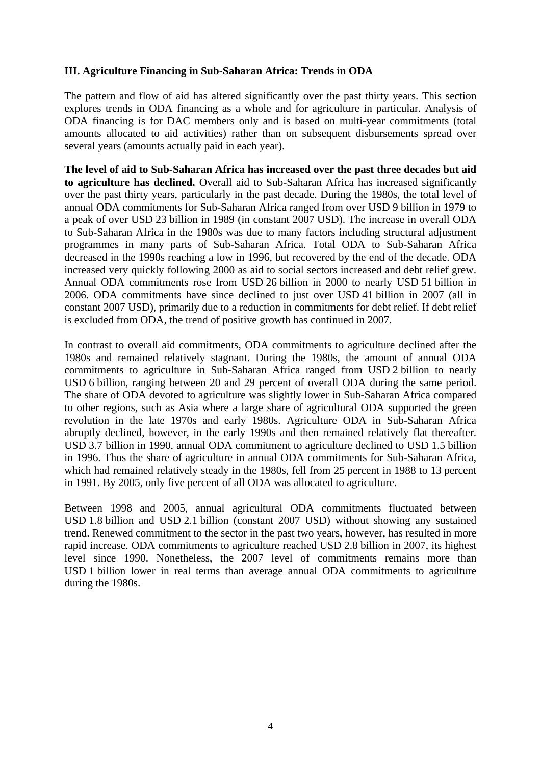### **III. Agriculture Financing in Sub-Saharan Africa: Trends in ODA**

The pattern and flow of aid has altered significantly over the past thirty years. This section explores trends in ODA financing as a whole and for agriculture in particular. Analysis of ODA financing is for DAC members only and is based on multi-year commitments (total amounts allocated to aid activities) rather than on subsequent disbursements spread over several years (amounts actually paid in each year).

**The level of aid to Sub-Saharan Africa has increased over the past three decades but aid to agriculture has declined.** Overall aid to Sub-Saharan Africa has increased significantly over the past thirty years, particularly in the past decade. During the 1980s, the total level of annual ODA commitments for Sub-Saharan Africa ranged from over USD 9 billion in 1979 to a peak of over USD 23 billion in 1989 (in constant 2007 USD). The increase in overall ODA to Sub-Saharan Africa in the 1980s was due to many factors including structural adjustment programmes in many parts of Sub-Saharan Africa. Total ODA to Sub-Saharan Africa decreased in the 1990s reaching a low in 1996, but recovered by the end of the decade. ODA increased very quickly following 2000 as aid to social sectors increased and debt relief grew. Annual ODA commitments rose from USD 26 billion in 2000 to nearly USD 51 billion in 2006. ODA commitments have since declined to just over USD 41 billion in 2007 (all in constant 2007 USD), primarily due to a reduction in commitments for debt relief. If debt relief is excluded from ODA, the trend of positive growth has continued in 2007.

In contrast to overall aid commitments, ODA commitments to agriculture declined after the 1980s and remained relatively stagnant. During the 1980s, the amount of annual ODA commitments to agriculture in Sub-Saharan Africa ranged from USD 2 billion to nearly USD 6 billion, ranging between 20 and 29 percent of overall ODA during the same period. The share of ODA devoted to agriculture was slightly lower in Sub-Saharan Africa compared to other regions, such as Asia where a large share of agricultural ODA supported the green revolution in the late 1970s and early 1980s. Agriculture ODA in Sub-Saharan Africa abruptly declined, however, in the early 1990s and then remained relatively flat thereafter. USD 3.7 billion in 1990, annual ODA commitment to agriculture declined to USD 1.5 billion in 1996. Thus the share of agriculture in annual ODA commitments for Sub-Saharan Africa, which had remained relatively steady in the 1980s, fell from 25 percent in 1988 to 13 percent in 1991. By 2005, only five percent of all ODA was allocated to agriculture.

Between 1998 and 2005, annual agricultural ODA commitments fluctuated between USD 1.8 billion and USD 2.1 billion (constant 2007 USD) without showing any sustained trend. Renewed commitment to the sector in the past two years, however, has resulted in more rapid increase. ODA commitments to agriculture reached USD 2.8 billion in 2007, its highest level since 1990. Nonetheless, the 2007 level of commitments remains more than USD 1 billion lower in real terms than average annual ODA commitments to agriculture during the 1980s.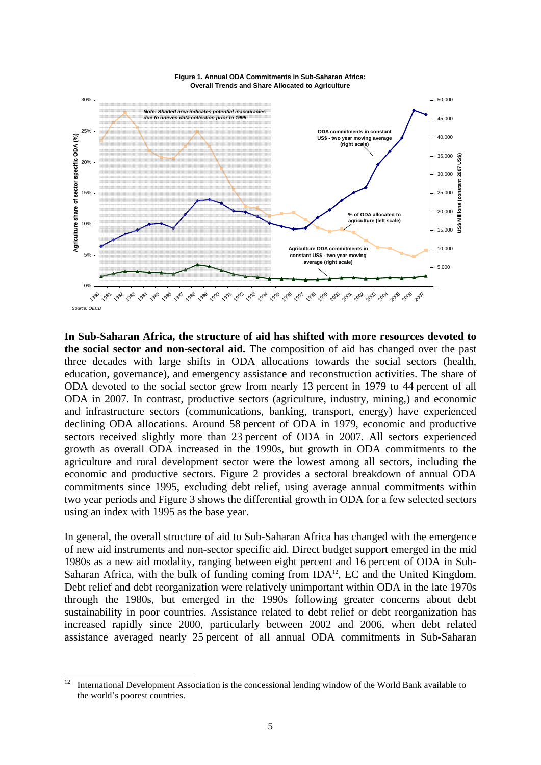

**In Sub-Saharan Africa, the structure of aid has shifted with more resources devoted to the social sector and non-sectoral aid.** The composition of aid has changed over the past three decades with large shifts in ODA allocations towards the social sectors (health, education, governance), and emergency assistance and reconstruction activities. The share of ODA devoted to the social sector grew from nearly 13 percent in 1979 to 44 percent of all ODA in 2007. In contrast, productive sectors (agriculture, industry, mining,) and economic and infrastructure sectors (communications, banking, transport, energy) have experienced declining ODA allocations. Around 58 percent of ODA in 1979, economic and productive sectors received slightly more than 23 percent of ODA in 2007. All sectors experienced growth as overall ODA increased in the 1990s, but growth in ODA commitments to the agriculture and rural development sector were the lowest among all sectors, including the economic and productive sectors. Figure 2 provides a sectoral breakdown of annual ODA commitments since 1995, excluding debt relief, using average annual commitments within two year periods and Figure 3 shows the differential growth in ODA for a few selected sectors using an index with 1995 as the base year.

In general, the overall structure of aid to Sub-Saharan Africa has changed with the emergence of new aid instruments and non-sector specific aid. Direct budget support emerged in the mid 1980s as a new aid modality, ranging between eight percent and 16 percent of ODA in Sub-Saharan Africa, with the bulk of funding coming from  $IDA<sup>12</sup>$ , EC and the United Kingdom. Debt relief and debt reorganization were relatively unimportant within ODA in the late 1970s through the 1980s, but emerged in the 1990s following greater concerns about debt sustainability in poor countries. Assistance related to debt relief or debt reorganization has increased rapidly since 2000, particularly between 2002 and 2006, when debt related assistance averaged nearly 25 percent of all annual ODA commitments in Sub-Saharan

 $12$ 12 International Development Association is the concessional lending window of the World Bank available to the world's poorest countries.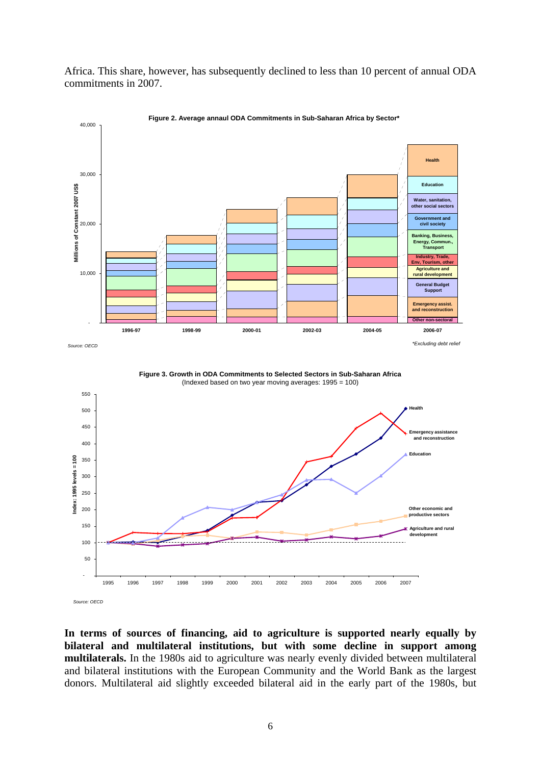Africa. This share, however, has subsequently declined to less than 10 percent of annual ODA commitments in 2007.



**Figure 2. Average annaul ODA Commitments in Sub-Saharan Africa by Sector\*** 

**Figure 3. Growth in ODA Commitments to Selected Sectors in Sub-Saharan Africa** (Indexed based on two year moving averages: 1995 = 100)



**In terms of sources of financing, aid to agriculture is supported nearly equally by bilateral and multilateral institutions, but with some decline in support among multilaterals.** In the 1980s aid to agriculture was nearly evenly divided between multilateral and bilateral institutions with the European Community and the World Bank as the largest donors. Multilateral aid slightly exceeded bilateral aid in the early part of the 1980s, but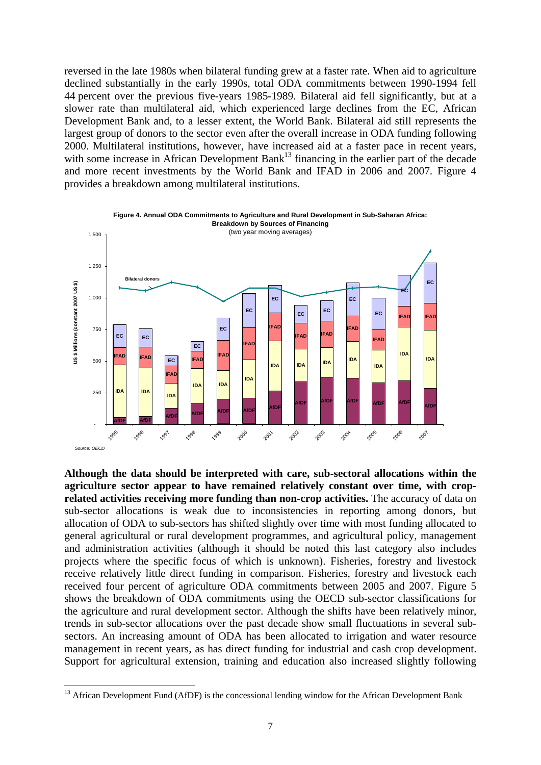reversed in the late 1980s when bilateral funding grew at a faster rate. When aid to agriculture declined substantially in the early 1990s, total ODA commitments between 1990-1994 fell 44 percent over the previous five-years 1985-1989. Bilateral aid fell significantly, but at a slower rate than multilateral aid, which experienced large declines from the EC, African Development Bank and, to a lesser extent, the World Bank. Bilateral aid still represents the largest group of donors to the sector even after the overall increase in ODA funding following 2000. Multilateral institutions, however, have increased aid at a faster pace in recent years, with some increase in African Development Bank<sup>13</sup> financing in the earlier part of the decade and more recent investments by the World Bank and IFAD in 2006 and 2007. Figure 4 provides a breakdown among multilateral institutions.



**Although the data should be interpreted with care, sub-sectoral allocations within the agriculture sector appear to have remained relatively constant over time, with croprelated activities receiving more funding than non-crop activities.** The accuracy of data on sub-sector allocations is weak due to inconsistencies in reporting among donors, but allocation of ODA to sub-sectors has shifted slightly over time with most funding allocated to general agricultural or rural development programmes, and agricultural policy, management and administration activities (although it should be noted this last category also includes projects where the specific focus of which is unknown). Fisheries, forestry and livestock receive relatively little direct funding in comparison. Fisheries, forestry and livestock each received four percent of agriculture ODA commitments between 2005 and 2007. Figure 5 shows the breakdown of ODA commitments using the OECD sub-sector classifications for the agriculture and rural development sector. Although the shifts have been relatively minor, trends in sub-sector allocations over the past decade show small fluctuations in several subsectors. An increasing amount of ODA has been allocated to irrigation and water resource management in recent years, as has direct funding for industrial and cash crop development. Support for agricultural extension, training and education also increased slightly following

-

 $13$  African Development Fund (AfDF) is the concessional lending window for the African Development Bank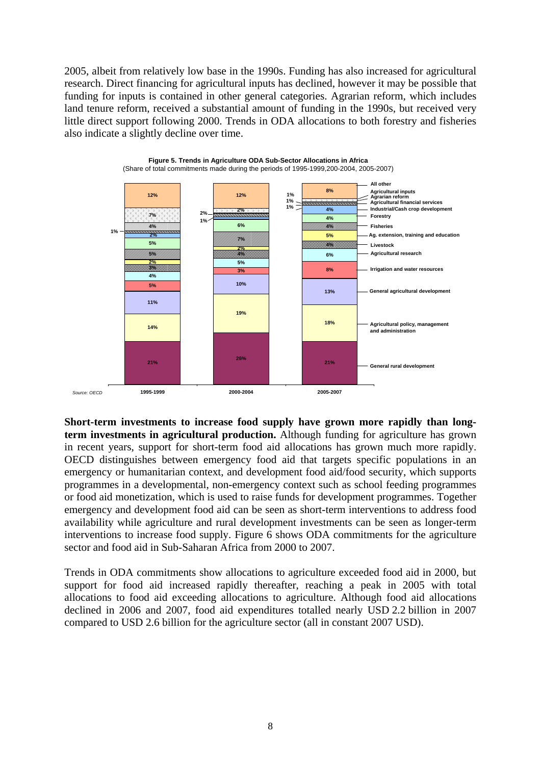2005, albeit from relatively low base in the 1990s. Funding has also increased for agricultural research. Direct financing for agricultural inputs has declined, however it may be possible that funding for inputs is contained in other general categories. Agrarian reform, which includes land tenure reform, received a substantial amount of funding in the 1990s, but received very little direct support following 2000. Trends in ODA allocations to both forestry and fisheries also indicate a slightly decline over time.



**Short-term investments to increase food supply have grown more rapidly than longterm investments in agricultural production.** Although funding for agriculture has grown in recent years, support for short-term food aid allocations has grown much more rapidly. OECD distinguishes between emergency food aid that targets specific populations in an emergency or humanitarian context, and development food aid/food security, which supports programmes in a developmental, non-emergency context such as school feeding programmes or food aid monetization, which is used to raise funds for development programmes. Together emergency and development food aid can be seen as short-term interventions to address food availability while agriculture and rural development investments can be seen as longer-term interventions to increase food supply. Figure 6 shows ODA commitments for the agriculture sector and food aid in Sub-Saharan Africa from 2000 to 2007.

Trends in ODA commitments show allocations to agriculture exceeded food aid in 2000, but support for food aid increased rapidly thereafter, reaching a peak in 2005 with total allocations to food aid exceeding allocations to agriculture. Although food aid allocations declined in 2006 and 2007, food aid expenditures totalled nearly USD 2.2 billion in 2007 compared to USD 2.6 billion for the agriculture sector (all in constant 2007 USD).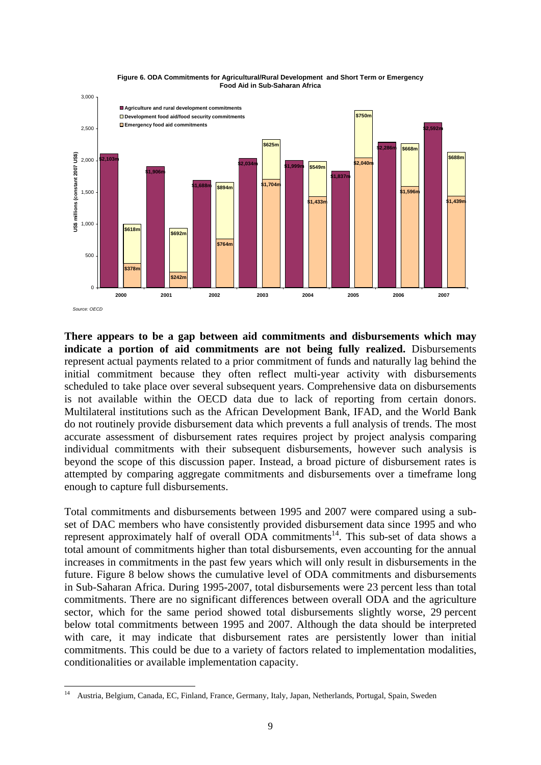



**There appears to be a gap between aid commitments and disbursements which may indicate a portion of aid commitments are not being fully realized.** Disbursements represent actual payments related to a prior commitment of funds and naturally lag behind the initial commitment because they often reflect multi-year activity with disbursements scheduled to take place over several subsequent years. Comprehensive data on disbursements is not available within the OECD data due to lack of reporting from certain donors. Multilateral institutions such as the African Development Bank, IFAD, and the World Bank do not routinely provide disbursement data which prevents a full analysis of trends. The most accurate assessment of disbursement rates requires project by project analysis comparing individual commitments with their subsequent disbursements, however such analysis is beyond the scope of this discussion paper. Instead, a broad picture of disbursement rates is attempted by comparing aggregate commitments and disbursements over a timeframe long enough to capture full disbursements.

Total commitments and disbursements between 1995 and 2007 were compared using a subset of DAC members who have consistently provided disbursement data since 1995 and who represent approximately half of overall  $\overrightarrow{ODA}$  commitments<sup>14</sup>. This sub-set of data shows a total amount of commitments higher than total disbursements, even accounting for the annual increases in commitments in the past few years which will only result in disbursements in the future. Figure 8 below shows the cumulative level of ODA commitments and disbursements in Sub-Saharan Africa. During 1995-2007, total disbursements were 23 percent less than total commitments. There are no significant differences between overall ODA and the agriculture sector, which for the same period showed total disbursements slightly worse, 29 percent below total commitments between 1995 and 2007. Although the data should be interpreted with care, it may indicate that disbursement rates are persistently lower than initial commitments. This could be due to a variety of factors related to implementation modalities, conditionalities or available implementation capacity.

 $14$ 14 Austria, Belgium, Canada, EC, Finland, France, Germany, Italy, Japan, Netherlands, Portugal, Spain, Sweden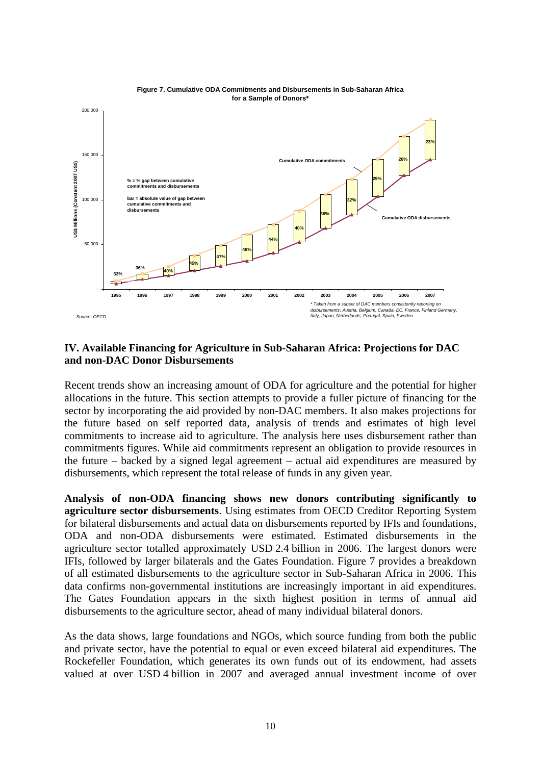

#### **IV. Available Financing for Agriculture in Sub-Saharan Africa: Projections for DAC and non-DAC Donor Disbursements**

Recent trends show an increasing amount of ODA for agriculture and the potential for higher allocations in the future. This section attempts to provide a fuller picture of financing for the sector by incorporating the aid provided by non-DAC members. It also makes projections for the future based on self reported data, analysis of trends and estimates of high level commitments to increase aid to agriculture. The analysis here uses disbursement rather than commitments figures. While aid commitments represent an obligation to provide resources in the future – backed by a signed legal agreement – actual aid expenditures are measured by disbursements, which represent the total release of funds in any given year.

**Analysis of non-ODA financing shows new donors contributing significantly to agriculture sector disbursements**. Using estimates from OECD Creditor Reporting System for bilateral disbursements and actual data on disbursements reported by IFIs and foundations, ODA and non-ODA disbursements were estimated. Estimated disbursements in the agriculture sector totalled approximately USD 2.4 billion in 2006. The largest donors were IFIs, followed by larger bilaterals and the Gates Foundation. Figure 7 provides a breakdown of all estimated disbursements to the agriculture sector in Sub-Saharan Africa in 2006. This data confirms non-governmental institutions are increasingly important in aid expenditures. The Gates Foundation appears in the sixth highest position in terms of annual aid disbursements to the agriculture sector, ahead of many individual bilateral donors.

As the data shows, large foundations and NGOs, which source funding from both the public and private sector, have the potential to equal or even exceed bilateral aid expenditures. The Rockefeller Foundation, which generates its own funds out of its endowment, had assets valued at over USD 4 billion in 2007 and averaged annual investment income of over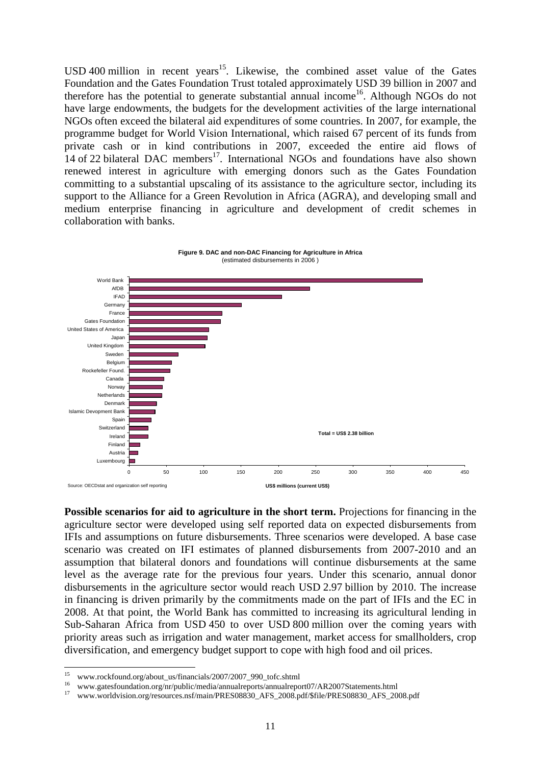USD 400 million in recent years<sup>15</sup>. Likewise, the combined asset value of the Gates Foundation and the Gates Foundation Trust totaled approximately USD 39 billion in 2007 and therefore has the potential to generate substantial annual income<sup>16</sup>. Although NGOs do not have large endowments, the budgets for the development activities of the large international NGOs often exceed the bilateral aid expenditures of some countries. In 2007, for example, the programme budget for World Vision International, which raised 67 percent of its funds from private cash or in kind contributions in 2007, exceeded the entire aid flows of 14 of 22 bilateral DAC members<sup>17</sup>. International NGOs and foundations have also shown renewed interest in agriculture with emerging donors such as the Gates Foundation committing to a substantial upscaling of its assistance to the agriculture sector, including its support to the Alliance for a Green Revolution in Africa (AGRA), and developing small and medium enterprise financing in agriculture and development of credit schemes in collaboration with banks.



**Possible scenarios for aid to agriculture in the short term.** Projections for financing in the agriculture sector were developed using self reported data on expected disbursements from IFIs and assumptions on future disbursements. Three scenarios were developed. A base case scenario was created on IFI estimates of planned disbursements from 2007-2010 and an assumption that bilateral donors and foundations will continue disbursements at the same level as the average rate for the previous four years. Under this scenario, annual donor disbursements in the agriculture sector would reach USD 2.97 billion by 2010. The increase in financing is driven primarily by the commitments made on the part of IFIs and the EC in 2008. At that point, the World Bank has committed to increasing its agricultural lending in Sub-Saharan Africa from USD 450 to over USD 800 million over the coming years with priority areas such as irrigation and water management, market access for smallholders, crop diversification, and emergency budget support to cope with high food and oil prices.

 $15$ 

<sup>&</sup>lt;sup>15</sup> www.rockfound.org/about\_us/financials/2007/2007\_990\_tofc.shtml<br><sup>16</sup> www.gatesfoundation.org/nr/public/media/annualreports/annualreport07/AR2007Statements.html<br><sup>17</sup> www.worldvision.org/resources.nsf/main/PRES08830\_AFS\_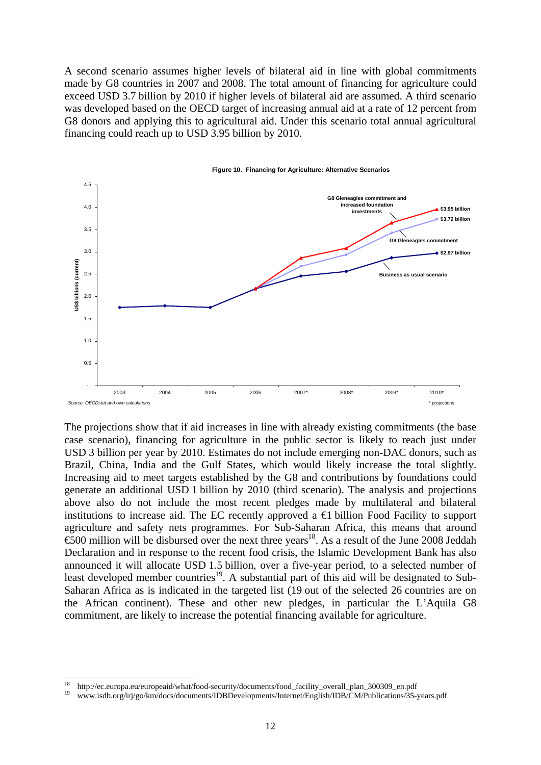A second scenario assumes higher levels of bilateral aid in line with global commitments made by G8 countries in 2007 and 2008. The total amount of financing for agriculture could exceed USD 3.7 billion by 2010 if higher levels of bilateral aid are assumed. A third scenario was developed based on the OECD target of increasing annual aid at a rate of 12 percent from G8 donors and applying this to agricultural aid. Under this scenario total annual agricultural financing could reach up to USD 3.95 billion by 2010.



The projections show that if aid increases in line with already existing commitments (the base case scenario), financing for agriculture in the public sector is likely to reach just under USD 3 billion per year by 2010. Estimates do not include emerging non-DAC donors, such as Brazil, China, India and the Gulf States, which would likely increase the total slightly. Increasing aid to meet targets established by the G8 and contributions by foundations could generate an additional USD 1 billion by 2010 (third scenario). The analysis and projections above also do not include the most recent pledges made by multilateral and bilateral institutions to increase aid. The EC recently approved a  $\bigoplus$  billion Food Facility to support agriculture and safety nets programmes. For Sub-Saharan Africa, this means that around  $\overline{600}$  million will be disbursed over the next three years<sup>18</sup>. As a result of the June 2008 Jeddah Declaration and in response to the recent food crisis, the Islamic Development Bank has also announced it will allocate USD 1.5 billion, over a five-year period, to a selected number of least developed member countries<sup>19</sup>. A substantial part of this aid will be designated to Sub-Saharan Africa as is indicated in the targeted list (19 out of the selected 26 countries are on the African continent). These and other new pledges, in particular the L'Aquila G8 commitment, are likely to increase the potential financing available for agriculture.

<sup>18</sup> 18 http://ec.europa.eu/europeaid/what/food-security/documents/food\_facility\_overall\_plan\_300309\_en.pdf 19 www.isdb.org/irj/go/km/docs/documents/IDBDevelopments/Internet/English/IDB/CM/Publications/35-years.pdf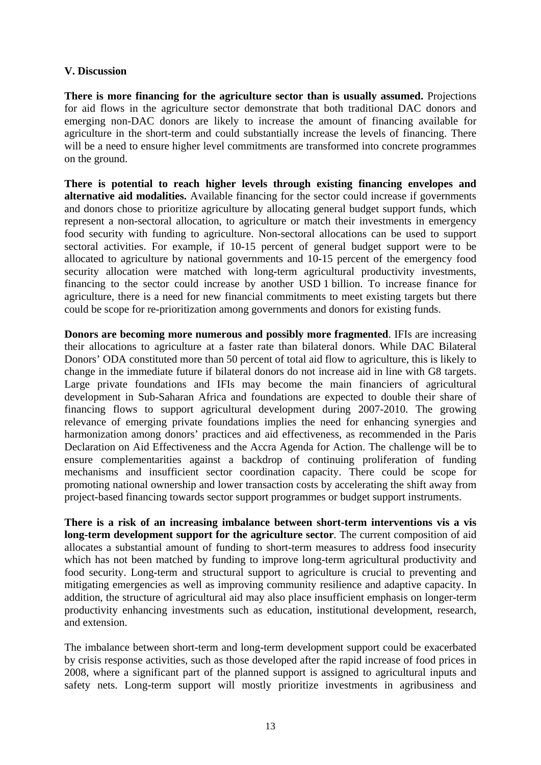#### **V. Discussion**

**There is more financing for the agriculture sector than is usually assumed.** Projections for aid flows in the agriculture sector demonstrate that both traditional DAC donors and emerging non-DAC donors are likely to increase the amount of financing available for agriculture in the short-term and could substantially increase the levels of financing. There will be a need to ensure higher level commitments are transformed into concrete programmes on the ground.

**There is potential to reach higher levels through existing financing envelopes and alternative aid modalities.** Available financing for the sector could increase if governments and donors chose to prioritize agriculture by allocating general budget support funds, which represent a non-sectoral allocation, to agriculture or match their investments in emergency food security with funding to agriculture. Non-sectoral allocations can be used to support sectoral activities. For example, if 10-15 percent of general budget support were to be allocated to agriculture by national governments and 10-15 percent of the emergency food security allocation were matched with long-term agricultural productivity investments, financing to the sector could increase by another USD 1 billion. To increase finance for agriculture, there is a need for new financial commitments to meet existing targets but there could be scope for re-prioritization among governments and donors for existing funds.

**Donors are becoming more numerous and possibly more fragmented**. IFIs are increasing their allocations to agriculture at a faster rate than bilateral donors. While DAC Bilateral Donors' ODA constituted more than 50 percent of total aid flow to agriculture, this is likely to change in the immediate future if bilateral donors do not increase aid in line with G8 targets. Large private foundations and IFIs may become the main financiers of agricultural development in Sub-Saharan Africa and foundations are expected to double their share of financing flows to support agricultural development during 2007-2010. The growing relevance of emerging private foundations implies the need for enhancing synergies and harmonization among donors' practices and aid effectiveness, as recommended in the Paris Declaration on Aid Effectiveness and the Accra Agenda for Action. The challenge will be to ensure complementarities against a backdrop of continuing proliferation of funding mechanisms and insufficient sector coordination capacity. There could be scope for promoting national ownership and lower transaction costs by accelerating the shift away from project-based financing towards sector support programmes or budget support instruments.

**There is a risk of an increasing imbalance between short-term interventions vis a vis long-term development support for the agriculture sector**. The current composition of aid allocates a substantial amount of funding to short-term measures to address food insecurity which has not been matched by funding to improve long-term agricultural productivity and food security. Long-term and structural support to agriculture is crucial to preventing and mitigating emergencies as well as improving community resilience and adaptive capacity. In addition, the structure of agricultural aid may also place insufficient emphasis on longer-term productivity enhancing investments such as education, institutional development, research, and extension.

The imbalance between short-term and long-term development support could be exacerbated by crisis response activities, such as those developed after the rapid increase of food prices in 2008, where a significant part of the planned support is assigned to agricultural inputs and safety nets. Long-term support will mostly prioritize investments in agribusiness and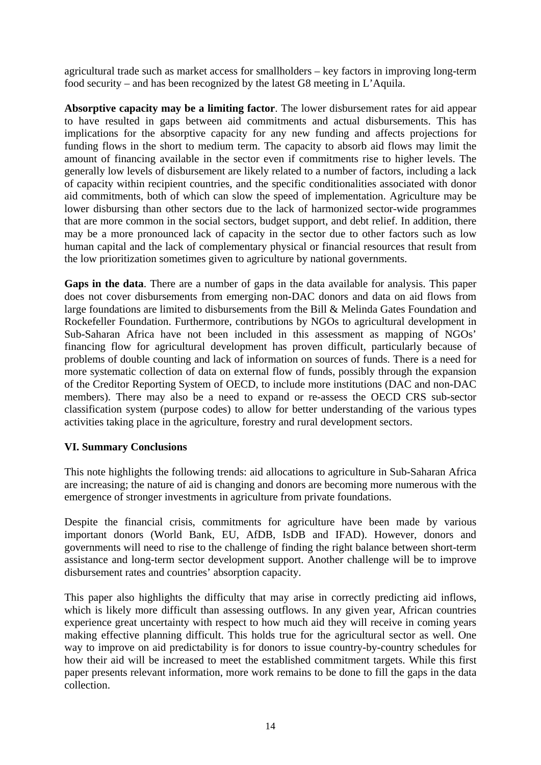agricultural trade such as market access for smallholders – key factors in improving long-term food security – and has been recognized by the latest G8 meeting in L'Aquila.

**Absorptive capacity may be a limiting factor**. The lower disbursement rates for aid appear to have resulted in gaps between aid commitments and actual disbursements. This has implications for the absorptive capacity for any new funding and affects projections for funding flows in the short to medium term. The capacity to absorb aid flows may limit the amount of financing available in the sector even if commitments rise to higher levels. The generally low levels of disbursement are likely related to a number of factors, including a lack of capacity within recipient countries, and the specific conditionalities associated with donor aid commitments, both of which can slow the speed of implementation. Agriculture may be lower disbursing than other sectors due to the lack of harmonized sector-wide programmes that are more common in the social sectors, budget support, and debt relief. In addition, there may be a more pronounced lack of capacity in the sector due to other factors such as low human capital and the lack of complementary physical or financial resources that result from the low prioritization sometimes given to agriculture by national governments.

**Gaps in the data**. There are a number of gaps in the data available for analysis. This paper does not cover disbursements from emerging non-DAC donors and data on aid flows from large foundations are limited to disbursements from the Bill & Melinda Gates Foundation and Rockefeller Foundation. Furthermore, contributions by NGOs to agricultural development in Sub-Saharan Africa have not been included in this assessment as mapping of NGOs' financing flow for agricultural development has proven difficult, particularly because of problems of double counting and lack of information on sources of funds. There is a need for more systematic collection of data on external flow of funds, possibly through the expansion of the Creditor Reporting System of OECD, to include more institutions (DAC and non-DAC members). There may also be a need to expand or re-assess the OECD CRS sub-sector classification system (purpose codes) to allow for better understanding of the various types activities taking place in the agriculture, forestry and rural development sectors.

## **VI. Summary Conclusions**

This note highlights the following trends: aid allocations to agriculture in Sub-Saharan Africa are increasing; the nature of aid is changing and donors are becoming more numerous with the emergence of stronger investments in agriculture from private foundations.

Despite the financial crisis, commitments for agriculture have been made by various important donors (World Bank, EU, AfDB, IsDB and IFAD). However, donors and governments will need to rise to the challenge of finding the right balance between short-term assistance and long-term sector development support. Another challenge will be to improve disbursement rates and countries' absorption capacity.

This paper also highlights the difficulty that may arise in correctly predicting aid inflows, which is likely more difficult than assessing outflows. In any given year, African countries experience great uncertainty with respect to how much aid they will receive in coming years making effective planning difficult. This holds true for the agricultural sector as well. One way to improve on aid predictability is for donors to issue country-by-country schedules for how their aid will be increased to meet the established commitment targets. While this first paper presents relevant information, more work remains to be done to fill the gaps in the data collection.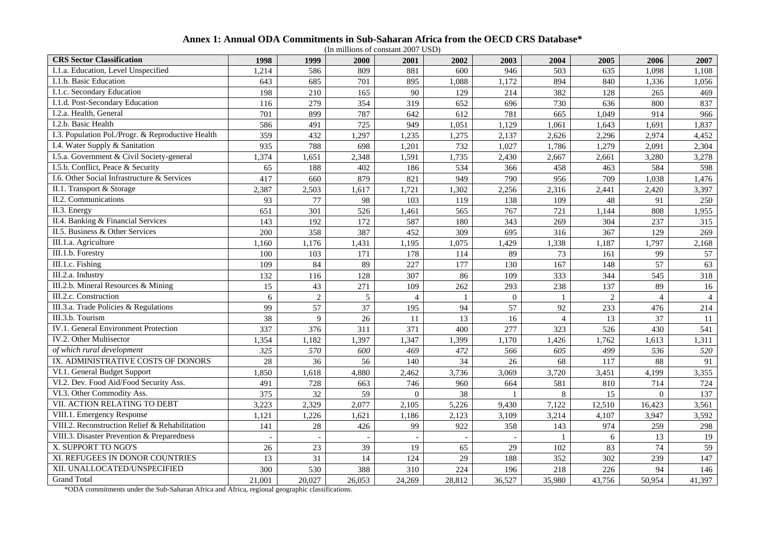|  |  |  |  | Annex 1: Annual ODA Commitments in Sub-Saharan Africa from the OECD CRS Database* |  |  |  |  |  |  |  |
|--|--|--|--|-----------------------------------------------------------------------------------|--|--|--|--|--|--|--|
|--|--|--|--|-----------------------------------------------------------------------------------|--|--|--|--|--|--|--|

| <b>CRS</b> Sector Classification                  | 1998   | 1999           | 2000   | 2001           | 2002         | 2003         | 2004           | 2005           | 2006           | 2007           |
|---------------------------------------------------|--------|----------------|--------|----------------|--------------|--------------|----------------|----------------|----------------|----------------|
| I.1.a. Education, Level Unspecified               | 1,214  | 586            | 809    | 881            | 600          | 946          | 503            | 635            | 1,098          | 1,108          |
| I.1.b. Basic Education                            | 643    | 685            | 701    | 895            | 1,088        | 1,172        | 894            | 840            | 1,336          | 1,056          |
| I.1.c. Secondary Education                        | 198    | 210            | 165    | 90             | 129          | 214          | 382            | 128            | 265            | 469            |
| I.1.d. Post-Secondary Education                   | 116    | 279            | 354    | 319            | 652          | 696          | 730            | 636            | 800            | 837            |
| I.2.a. Health, General                            | 701    | 899            | 787    | 642            | 612          | 781          | 665            | 1,049          | 914            | 966            |
| I.2.b. Basic Health                               | 586    | 491            | 725    | 949            | 1,051        | 1,129        | 1,061          | 1,643          | 1,691          | 1,837          |
| I.3. Population Pol./Progr. & Reproductive Health | 359    | 432            | ,297   | .235           | 1,275        | 2,137        | 2,626          | 2,296          | 2,974          | 4,452          |
| I.4. Water Supply & Sanitation                    | 935    | 788            | 698    | 1,201          | 732          | 1,027        | 1,786          | 1,279          | 2,091          | 2,304          |
| I.5.a. Government & Civil Society-general         | 1,374  | 1,651          | 2,348  | 1,591          | 1,735        | 2,430        | 2,667          | 2,661          | 3,280          | 3,278          |
| I.5.b. Conflict, Peace & Security                 | 65     | 188            | 402    | 186            | 534          | 366          | 458            | 463            | 584            | 598            |
| I.6. Other Social Infrastructure & Services       | 417    | 660            | 879    | 821            | 949          | 790          | 956            | 709            | 1,038          | 1,476          |
| II.1. Transport & Storage                         | 2,387  | 2,503          | 1,617  | 1,721          | 1,302        | 2,256        | 2,316          | 2,441          | 2,420          | 3,397          |
| II.2. Communications                              | 93     | 77             | 98     | 103            | 119          | 138          | 109            | 48             | 91             | 250            |
| II.3. Energy                                      | 651    | 301            | 526    | 1,461          | 565          | 767          | 721            | 1,144          | 808            | 1,955          |
| II.4. Banking & Financial Services                | 143    | 192            | 172    | 587            | 180          | 343          | 269            | 304            | 237            | 315            |
| II.5. Business & Other Services                   | 200    | 358            | 387    | 452            | 309          | 695          | 316            | 367            | 129            | 269            |
| III.1.a. Agriculture                              | 1,160  | 1,176          | 1,431  | 1,195          | 1,075        | 1,429        | 1,338          | 1,187          | 1,797          | 2,168          |
| III.1.b. Forestry                                 | 100    | 103            | 171    | 178            | 114          | 89           | 73             | 161            | 99             | 57             |
| III.1.c. Fishing                                  | 109    | 84             | 89     | 227            | 177          | 130          | 167            | 148            | 57             | 63             |
| III.2.a. Industry                                 | 132    | 116            | 128    | 307            | 86           | 109          | 333            | 344            | 545            | 318            |
| III.2.b. Mineral Resources & Mining               | 15     | 43             | 271    | 109            | 262          | 293          | 238            | 137            | 89             | 16             |
| III.2.c. Construction                             | 6      | $\overline{2}$ | 5      | $\overline{4}$ | $\mathbf{1}$ | $\mathbf{0}$ | $\mathbf{1}$   | $\overline{2}$ | $\overline{4}$ | $\overline{4}$ |
| III.3.a. Trade Policies & Regulations             | 99     | 57             | 37     | 195            | 94           | 57           | 92             | 233            | 476            | 214            |
| III.3.b. Tourism                                  | 38     | 9              | 26     | 11             | 13           | 16           | $\overline{4}$ | 13             | 37             | 11             |
| <b>IV.1. General Environment Protection</b>       | 337    | 376            | 311    | 371            | 400          | 277          | 323            | 526            | 430            | 541            |
| IV.2. Other Multisector                           | 1,354  | 1,182          | 1,397  | 1,347          | 1,399        | 1,170        | 1,426          | 1,762          | 1,613          | 1,311          |
| of which rural development                        | 325    | 570            | 600    | 469            | 472          | 566          | 605            | 499            | 536            | 520            |
| IX. ADMINISTRATIVE COSTS OF DONORS                | 28     | 36             | 56     | 140            | 34           | 26           | 68             | 117            | 88             | 91             |
| VI.1. General Budget Support                      | 1,850  | 1,618          | 4,880  | 2,462          | 3,736        | 3,069        | 3,720          | 3,451          | 4,199          | 3,355          |
| VI.2. Dev. Food Aid/Food Security Ass.            | 491    | 728            | 663    | 746            | 960          | 664          | 581            | 810            | 714            | 724            |
| VI.3. Other Commodity Ass.                        | 375    | 32             | 59     | $\mathbf{0}$   | 38           |              | 8              | 15             | $\overline{0}$ | 137            |
| VII. ACTION RELATING TO DEBT                      | 3,223  | 2,329          | 2,077  | 2,105          | 5,226        | 9,430        | 7,122          | 12,510         | 16,423         | 3,561          |
| VIII.1. Emergency Response                        | 1,121  | 1,226          | 1,621  | 1,186          | 2,123        | 3,109        | 3,214          | 4,107          | 3,947          | 3,592          |
| VIII.2. Reconstruction Relief & Rehabilitation    | 141    | $28\,$         | 426    | 99             | 922          | 358          | 143            | 974            | 259            | 298            |
| VIII.3. Disaster Prevention & Preparedness        |        |                |        |                |              |              |                | 6              | 13             | 19             |
| X. SUPPORT TO NGO'S                               | 26     | 23             | 39     | 19             | 65           | 29           | 102            | 83             | 74             | 59             |
| XI. REFUGEES IN DONOR COUNTRIES                   | 13     | 31             | 14     | 124            | 29           | 188          | 352            | 302            | 239            | 147            |
| XII. UNALLOCATED/UNSPECIFIED                      | 300    | 530            | 388    | 310            | 224          | 196          | 218            | 226            | 94             | 146            |
| <b>Grand Total</b>                                | 21,001 | 20,027         | 26,053 | 24,269         | 28,812       | 36,527       | 35,980         | 43,756         | 50,954         | 41,397         |

\*ODA commitments under the Sub-Saharan Africa and Africa, regional geographic classifications.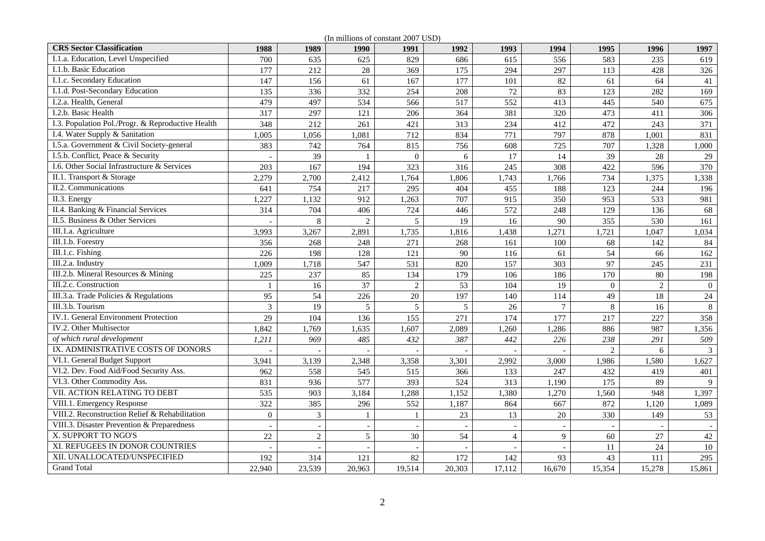**CRS Sector Classification 1988 1989 1990 1991 1992 1993 1994 1995 1996 1997** 1.1.a. Education, Level Unspecified 1 700 635 625 829 686 615 556 583 235 619 I.1.b. Basic Education 177 177 212 28 369 175 294 297 113 428 326 I.1.c. Secondary Education 147 156 61 167 177 101 82 61 64 41 I.1.d. Post-Secondary Education 135 336 332 254 208 72 83 123 282 169 I.2.a. Health, General 199 400 497 497 497 452 517 552 413 445 540 552 540 540 552 540 540 540 540 575  $\overline{675}$ I.2.b. Basic Health 317 297 121 206 364 381 320 473 411 306 306 I.3. Population Pol./Progr. & Reproductive Health 348 212 261 421 313 234 412 472 243 371 I.4. Water Supply & Sanitation 1,005 1,056 1,081 712 834 771 797 878 1,001 831 I.5.a. Government & Civil Society-general 383 742 764 815 756 608 725 707 1,328 1,000 I.5.b. Conflict, Peace & Security - 39 1 0 6 17 14 39 28 29 1.6. Other Social Infrastructure & Services 203 167 194 323 316 245 308 422 596 370 II.1. Transport & Storage 2,279 2,700 2,412 1,764 1,806 1,743 1,766 734 1,375 1,338 II.2. Communications 641 754 217 295 404 455 188 123 244 196 II.3. Energy 1.227 1,132 912 1,263 707 915 350 953 533 981 II.4. Banking & Financial Services 1 314 704 406 724 446 572 248 129 136 68 II.5. Business & Other Services - 8 2 5 19 16 90 355 530 161 161 III.1.a. Agriculture 3,993 3,267 2,891 1,735 1,816 1,438 1,271 1,721 1,047 1,034 III.1.b. Forestry 356 356 268 248 271 268 161 200 68 142 84 III.1.c. Fishing 20 226 198 128 121 90 116 61 54 66 162 III.2.a. Industry 1.009 1,718 547 531 820 157 303 97 245 231 III.2.b. Mineral Resources & Mining 225 237 237 85 134 179 106 186 170 80 30 198 III.2.c. Construction 1 1 1 16 37 2 53 104 19 0 2 0  $\overline{0}$ III.3.a. Trade Policies & Regulations 195 54 226 20 197 140 114 49 18 III.3.b. Tourism 3 19 5 5 5 26 7 8 16 8 IV.1. General Environment Protection 129 104 136 155 271 174 177 217 227 358 IV.2. Other Multisector 1,842 1,769 1,635 1,607 2,089 1,260 1,286 886 987 1,356 *of which rural development 1,211 969 485 432 387 442 226 238 291 509*  IX. ADMINISTRATIVE COSTS OF DONORS - - - - - - 2 6 3  $\overline{3}$ VI.1. General Budget Support 1.627<br>
1.627<br>
1.627<br>
2.348 3.358 3.301 2.992 3.000 1.986 1.580 1.627 VI.2. Dev. Food Aid/Food Security Ass. 962 558 545 515 366 133 247 432 419 401 VI.3. Other Commodity Ass. 831 936 577 393 524 313 1,190 175 89 9 VII. ACTION RELATING TO DEBT 535 903 3,184 1,288 1,152 1,380 1,270 1,560 948 1,397 VIII.1. Emergency Response 322 385 296 552 1,187 864 667 872 1,120 1,089 VIII.2. Reconstruction Relief & Rehabilitation 0 3 1 1 23 13 20 330 149 53 53 VIII.3. Disaster Prevention & Preparedness ( ) [ ] [ ] [ ] [ ] [ ] [ ] [ ] [ ] [ ] ] [ ] [ ] [ ] ] [ ] ] [ ] [ ] ] [ ] [ ] ] [ ] [ ] ] [ ] [ ] [ ] [ ] [ ] [ ] [ ] [ ] [ ] [ ] [ ] [ ] [ ] [ ] [ ] [ ] [ ] [ ] [ ] [ ] [ ] [ ] X. SUPPORT TO NGO'S 22 2 30 54 4 9 60 27  $42$ XI. REFUGEES IN DONOR COUNTRIES - $-$  1  $-$  1  $-$  1  $-$  11  $24$  10 10 XII. UNALLOCATED/UNSPECIFIED 192 314 121 82 172 142 93 43 111 295 Grand Total 22,940 23,539 20,963 19,514 20,303 17,112 16,670 15,354 15,278 15,861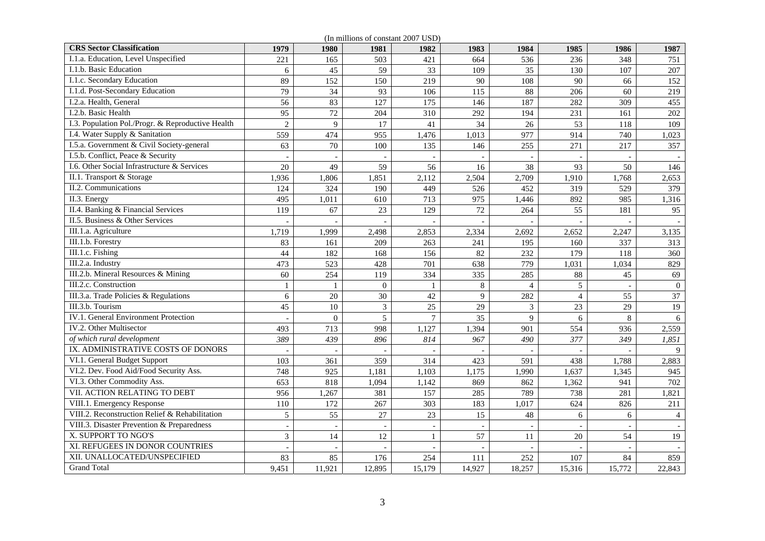| (In millions of constant 2007 USD)                |                |                          |                |              |                |                |                |        |                          |
|---------------------------------------------------|----------------|--------------------------|----------------|--------------|----------------|----------------|----------------|--------|--------------------------|
| <b>CRS</b> Sector Classification                  | 1979           | 1980                     | 1981           | 1982         | 1983           | 1984           | 1985           | 1986   | 1987                     |
| I.1.a. Education, Level Unspecified               | 221            | 165                      | 503            | 421          | 664            | 536            | 236            | 348    | 751                      |
| I.1.b. Basic Education                            | 6              | 45                       | 59             | 33           | 109            | 35             | 130            | 107    | 207                      |
| I.1.c. Secondary Education                        | 89             | 152                      | 150            | 219          | 90             | 108            | 90             | 66     | 152                      |
| I.1.d. Post-Secondary Education                   | 79             | 34                       | 93             | 106          | 115            | 88             | 206            | 60     | 219                      |
| I.2.a. Health, General                            | 56             | 83                       | 127            | 175          | 146            | 187            | 282            | 309    | 455                      |
| I.2.b. Basic Health                               | 95             | 72                       | 204            | 310          | 292            | 194            | 231            | 161    | 202                      |
| I.3. Population Pol./Progr. & Reproductive Health | $\overline{2}$ | 9                        | 17             | 41           | 34             | 26             | 53             | 118    | 109                      |
| I.4. Water Supply & Sanitation                    | 559            | 474                      | 955            | 1,476        | 1,013          | 977            | 914            | 740    | 1,023                    |
| I.5.a. Government & Civil Society-general         | 63             | 70                       | 100            | 135          | 146            | 255            | 271            | 217    | 357                      |
| I.5.b. Conflict, Peace & Security                 |                |                          |                |              |                |                |                |        |                          |
| I.6. Other Social Infrastructure & Services       | 20             | 49                       | 59             | 56           | 16             | 38             | 93             | 50     | 146                      |
| II.1. Transport & Storage                         | 1,936          | 1,806                    | 1,851          | 2,112        | 2,504          | 2,709          | 1,910          | 1,768  | 2,653                    |
| II.2. Communications                              | 124            | 324                      | 190            | 449          | 526            | 452            | 319            | 529    | 379                      |
| $\overline{II.3}$ . Energy                        | 495            | 1,011                    | 610            | 713          | 975            | 1,446          | 892            | 985    | 1,316                    |
| II.4. Banking & Financial Services                | 119            | 67                       | 23             | 129          | 72             | 264            | 55             | 181    | 95                       |
| II.5. Business & Other Services                   |                |                          |                |              | $\overline{a}$ |                |                |        |                          |
| III.1.a. Agriculture                              | 1,719          | 1,999                    | 2,498          | 2,853        | 2,334          | 2,692          | 2,652          | 2,247  | 3,135                    |
| III.1.b. Forestry                                 | 83             | 161                      | 209            | 263          | 241            | 195            | 160            | 337    | 313                      |
| III.1.c. Fishing                                  | 44             | 182                      | 168            | 156          | 82             | 232            | 179            | 118    | 360                      |
| III.2.a. Industry                                 | 473            | 523                      | 428            | 701          | 638            | 779            | 1,031          | 1,034  | 829                      |
| III.2.b. Mineral Resources & Mining               | 60             | 254                      | 119            | 334          | 335            | 285            | 88             | 45     | 69                       |
| III.2.c. Construction                             | $\mathbf{1}$   | 1                        | $\mathbf{0}$   | $\mathbf{1}$ | 8              | $\overline{4}$ | 5              |        | $\overline{0}$           |
| III.3.a. Trade Policies & Regulations             | $6\,$          | 20                       | 30             | 42           | 9              | 282            | $\overline{4}$ | 55     | 37                       |
| III.3.b. Tourism                                  | 45             | 10                       | $\mathfrak{Z}$ | 25           | 29             | 3              | 23             | 29     | 19                       |
| <b>IV.1. General Environment Protection</b>       |                | $\overline{0}$           | 5              | $\tau$       | 35             | 9              | 6              | 8      | 6                        |
| IV.2. Other Multisector                           | 493            | 713                      | 998            | 1,127        | 1,394          | 901            | 554            | 936    | 2,559                    |
| of which rural development                        | 389            | 439                      | 896            | 814          | 967            | 490            | 377            | 349    | 1,851                    |
| IX. ADMINISTRATIVE COSTS OF DONORS                |                |                          |                |              |                |                |                |        | 9                        |
| VI.1. General Budget Support                      | 103            | 361                      | 359            | 314          | 423            | 591            | 438            | 1,788  | 2,883                    |
| VI.2. Dev. Food Aid/Food Security Ass.            | 748            | 925                      | 1,181          | 1,103        | 1,175          | 1,990          | 1,637          | 1,345  | 945                      |
| VI.3. Other Commodity Ass.                        | 653            | 818                      | 1,094          | 1,142        | 869            | 862            | 1,362          | 941    | 702                      |
| VII. ACTION RELATING TO DEBT                      | 956            | 1,267                    | 381            | 157          | 285            | 789            | 738            | 281    | 1,821                    |
| VIII.1. Emergency Response                        | 110            | 172                      | 267            | 303          | 183            | 1,017          | 624            | 826    | 211                      |
| VIII.2. Reconstruction Relief & Rehabilitation    | 5              | 55                       | 27             | 23           | 15             | 48             | 6              | 6      | $\overline{4}$           |
| VIII.3. Disaster Prevention & Preparedness        |                |                          |                |              |                |                |                |        |                          |
| X. SUPPORT TO NGO'S                               | 3              | 14                       | 12             | $\mathbf{1}$ | 57             | 11             | 20             | 54     | 19                       |
| XI. REFUGEES IN DONOR COUNTRIES                   |                | $\overline{\phantom{a}}$ |                |              |                |                |                |        | $\overline{\phantom{a}}$ |
| XII. UNALLOCATED/UNSPECIFIED                      | 83             | 85                       | 176            | 254          | 111            | 252            | 107            | 84     | 859                      |
| <b>Grand Total</b>                                | 9,451          | 11,921                   | 12,895         | 15,179       | 14,927         | 18,257         | 15,316         | 15,772 | 22,843                   |